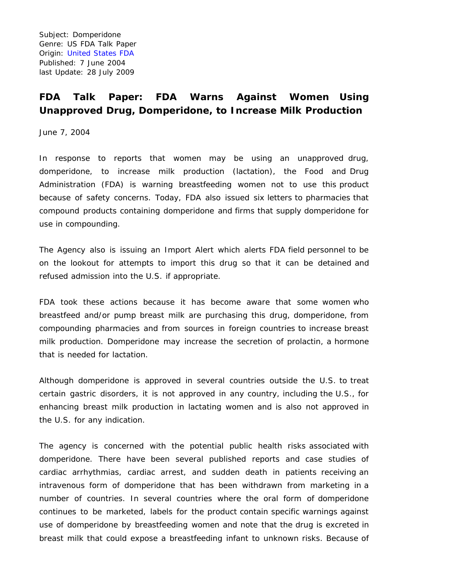Subject: Domperidone Genre: US FDA Talk Paper Origin: [United States FDA](https://www.fda.gov/) Published: 7 June 2004 last Update: 28 July 2009

## **FDA Talk Paper: FDA Warns Against Women Using Unapproved Drug, Domperidone, to Increase Milk Production**

June 7, 2004

In response to reports that women may be using an unapproved drug, domperidone, to increase milk production (lactation), the Food and Drug Administration (FDA) is warning breastfeeding women not to use this product because of safety concerns. Today, FDA also issued six letters to pharmacies that compound products containing domperidone and firms that supply domperidone for use in compounding.

The Agency also is issuing an Import Alert which alerts FDA field personnel to be on the lookout for attempts to import this drug so that it can be detained and refused admission into the U.S. if appropriate.

FDA took these actions because it has become aware that some women who breastfeed and/or pump breast milk are purchasing this drug, domperidone, from compounding pharmacies and from sources in foreign countries to increase breast milk production. Domperidone may increase the secretion of prolactin, a hormone that is needed for lactation.

Although domperidone is approved in several countries outside the U.S. to treat certain gastric disorders, it is not approved in any country, including the U.S., for enhancing breast milk production in lactating women and is also not approved in the U.S. for any indication.

The agency is concerned with the potential public health risks associated with domperidone. There have been several published reports and case studies of cardiac arrhythmias, cardiac arrest, and sudden death in patients receiving an intravenous form of domperidone that has been withdrawn from marketing in a number of countries. In several countries where the oral form of domperidone continues to be marketed, labels for the product contain specific warnings against use of domperidone by breastfeeding women and note that the drug is excreted in breast milk that could expose a breastfeeding infant to unknown risks. Because of